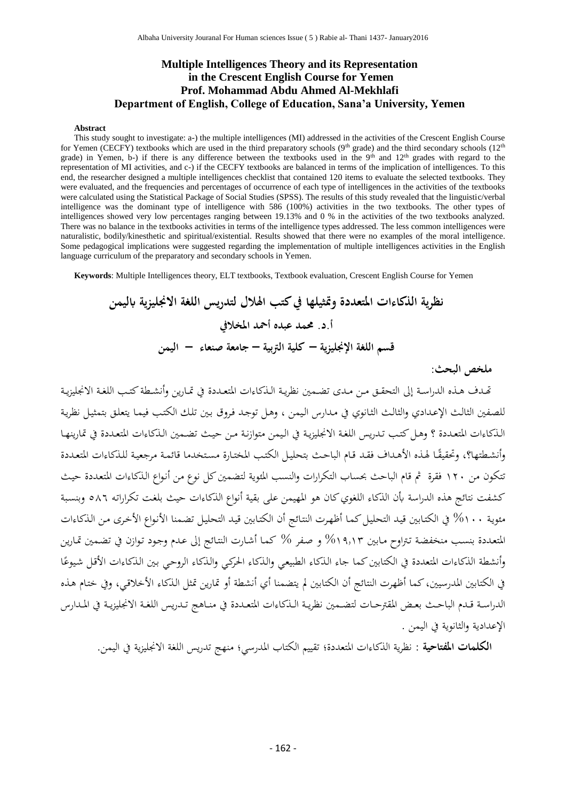#### **Multiple Intelligences Theory and its Representation in the Crescent English Course for Yemen Prof. Mohammad Abdu Ahmed Al-Mekhlafi Department of English, College of Education, Sana'a University, Yemen**

#### **Abstract**

This study sought to investigate: a-) the multiple intelligences (MI) addressed in the activities of the Crescent English Course for Yemen (CECFY) textbooks which are used in the third preparatory schools (9<sup>th</sup> grade) and the third secondary schools (12<sup>th</sup> grade) in Yemen, b-) if there is any difference between the textbooks used in the 9<sup>th</sup> and  $12<sup>th</sup>$  grades with regard to the representation of MI activities, and c-) if the CECFY textbooks are balanced in terms of the implication of intelligences. To this end, the researcher designed a multiple intelligences checklist that contained 120 items to evaluate the selected textbooks. They were evaluated, and the frequencies and percentages of occurrence of each type of intelligences in the activities of the textbooks were calculated using the Statistical Package of Social Studies (SPSS). The results of this study revealed that the linguistic/verbal intelligence was the dominant type of intelligence with 586 (100%) activities in the two textbooks. The other types of intelligences showed very low percentages ranging between 19.13% and 0 % in the activities of the two textbooks analyzed. There was no balance in the textbooks activities in terms of the intelligence types addressed. The less common intelligences were naturalistic, bodily/kinesthetic and spiritual/existential. Results showed that there were no examples of the moral intelligence. Some pedagogical implications were suggested regarding the implementation of multiple intelligences activities in the English language curriculum of the preparatory and secondary schools in Yemen.

**Keywords**: Multiple Intelligences theory, ELT textbooks, Textbook evaluation, Crescent English Course for Yemen

**نظرية الذكاءات املتعددة ومتثيلها يف كتب اهلالل لتدريس اللغة االجنليزية ابليمن أ.د. حممد عبده أمحد املخاليف قسم اللغة اإلجنليزية – كلية الرتبية – جامعة صنعاء – اليمن**

#### **ملخص البحث:**

تهدف هذه الدراسة إلى التحقـق مـن مـدي تضـمين نظريـة الـذكـاءات المتعـددة في تمـارين وأنشـطة كتـب اللغـة الانجليزيـة للصفين الثالث الإعدادي والثالث الثانوي في مدارس اليمن ، وهل توجد فروق بين تلك الكتب فيما يتعلق بتمثيل نظرية الذكاءات المتعددة ؟ وهل كتب تدريس اللغة الانجليزية في اليمن متوازنة من حيث تضمين الذكاءات المتعددة في تمارينها أنشطتها؟، وتحقيقًا لهذه الأهداف فقد قام الباحث بتحليل الكتب المختارة مستخدما قائمة مرجعية للذكاءات المتعددة تتكون من ١٢٠ فقرة ثم قام الباحث بحساب التكرارات والنسب المئوية لتضمين كل نوع من أنواع الذكاءات المتعددة حيث كشفت نتائج هذه الدراسة بأن الذكاء اللغوي كان هو المهيمن على بقية أنواع الذكاءات حيث بلغت تكراراته ٥٨٦ وبنسبة مئوية ١٠٠% في الكتابين قيد التحليل كما أظهرت النتائج أن الكتابين قيد التحليل تضمنا الأنواع الأخرى من الذكاءات المتعددة بنسب منخفضة تتراوح مابين ٩,١٣% و صفر % كما أشارت النتائج إلى عدم وجود توازن في تضمين تمارين أنشطة الذكاءات المتعددة في الكتابين كما جاء الذكاء الطبيعي والذكاء الحركي والذكاء الروحي بين الذكاءات الأقل شيوعًا ً في الكتابين المدرسيين، كما أظهرت النتائج أن الكتابين لم يتضمنا أي أنشطة أو تمارين تمثل الذكاء الأخلاقي، وفي ختام هذه الدراسة قـدم الباحث بعـض المقترحـات لتضمين نظريـة الـذكاءات المتعـددة في منـاهج تـدريس اللغـة الانجليزيـة في المـدارس الإعدادية والثانوية في اليمن .

<mark>الكلمات المفتاحية</mark> : نظرية الذكاءات المتعددة؛ تقييم الكتاب المدرسي؛ منهج تدريس اللغة الانجليزية في اليمن.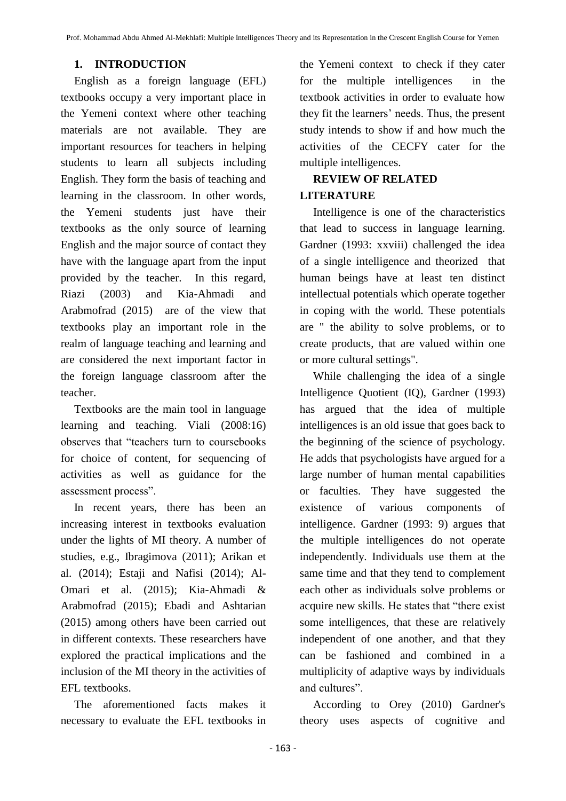### **1. INTRODUCTION**

English as a foreign language (EFL) textbooks occupy a very important place in the Yemeni context where other teaching materials are not available. They are important resources for teachers in helping students to learn all subjects including English. They form the basis of teaching and learning in the classroom. In other words, the Yemeni students just have their textbooks as the only source of learning English and the major source of contact they have with the language apart from the input provided by the teacher. In this regard, Riazi (2003) and Kia-Ahmadi and Arabmofrad (2015) are of the view that textbooks play an important role in the realm of language teaching and learning and are considered the next important factor in the foreign language classroom after the teacher.

Textbooks are the main tool in language learning and teaching. Viali (2008:16) observes that "teachers turn to coursebooks for choice of content, for sequencing of activities as well as guidance for the assessment process".

In recent years, there has been an increasing interest in textbooks evaluation under the lights of MI theory. A number of studies, e.g., Ibragimova (2011); Arikan et al. (2014); Estaji and Nafisi (2014); Al-Omari et al. (2015); Kia-Ahmadi & Arabmofrad (2015); Ebadi and Ashtarian (2015) among others have been carried out in different contexts. These researchers have explored the practical implications and the inclusion of the MI theory in the activities of EFL textbooks.

The aforementioned facts makes it necessary to evaluate the EFL textbooks in

the Yemeni context to check if they cater for the multiple intelligences in the textbook activities in order to evaluate how they fit the learners' needs. Thus, the present study intends to show if and how much the activities of the CECFY cater for the multiple intelligences.

### **REVIEW OF RELATED LITERATURE**

Intelligence is one of the characteristics that lead to success in language learning. Gardner (1993: xxviii) challenged the idea of a single intelligence and theorized that human beings have at least ten distinct intellectual potentials which operate together in coping with the world. These potentials are " the ability to solve problems, or to create products, that are valued within one or more cultural settings".

While challenging the idea of a single Intelligence Quotient (IQ), Gardner (1993) has argued that the idea of multiple intelligences is an old issue that goes back to the beginning of the science of psychology. He adds that psychologists have argued for a large number of human mental capabilities or faculties. They have suggested the existence of various components of intelligence. Gardner (1993: 9) argues that the multiple intelligences do not operate independently. Individuals use them at the same time and that they tend to complement each other as individuals solve problems or acquire new skills. He states that "there exist some intelligences, that these are relatively independent of one another, and that they can be fashioned and combined in a multiplicity of adaptive ways by individuals and cultures".

According to Orey (2010) Gardner's theory uses aspects of cognitive and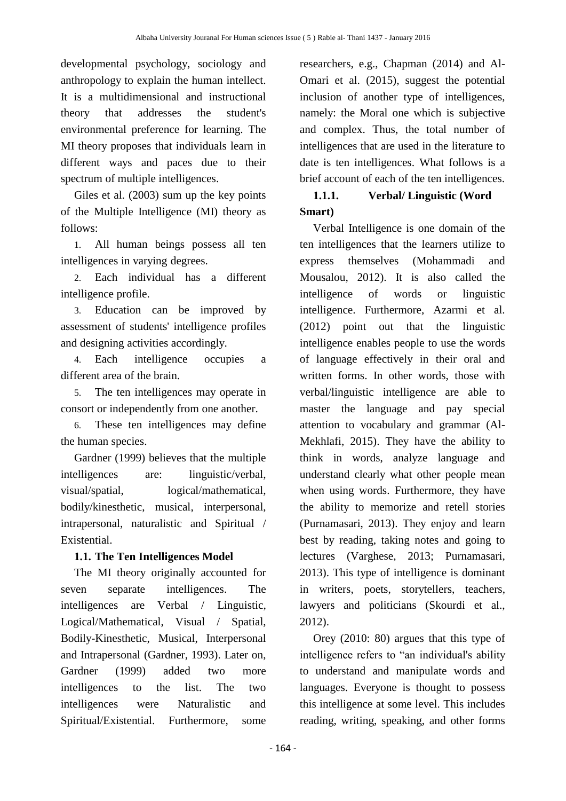developmental psychology, sociology and anthropology to explain the human intellect. It is a multidimensional and instructional theory that addresses the student's environmental preference for learning. The MI theory proposes that individuals learn in different ways and paces due to their spectrum of multiple intelligences.

Giles et al. (2003) sum up the key points of the Multiple Intelligence (MI) theory as follows:

1. All human beings possess all ten intelligences in varying degrees.

2. Each individual has a different intelligence profile.

3. Education can be improved by assessment of students' intelligence profiles and designing activities accordingly.

4. Each intelligence occupies a different area of the brain.

5. The ten intelligences may operate in consort or independently from one another.

6. These ten intelligences may define the human species.

Gardner (1999) believes that the multiple intelligences are: linguistic/verbal, visual/spatial, logical/mathematical, bodily/kinesthetic, musical, interpersonal, intrapersonal, naturalistic and Spiritual / Existential.

### **1.1. The Ten Intelligences Model**

The MI theory originally accounted for seven separate intelligences. The intelligences are Verbal / Linguistic, Logical/Mathematical, Visual / Spatial, Bodily-Kinesthetic, Musical, Interpersonal and Intrapersonal (Gardner, 1993). Later on, Gardner (1999) added two more intelligences to the list. The two intelligences were Naturalistic and Spiritual/Existential. Furthermore, some

researchers, e.g., Chapman (2014) and Al-Omari et al. (2015), suggest the potential inclusion of another type of intelligences, namely: the Moral one which is subjective and complex. Thus, the total number of intelligences that are used in the literature to date is ten intelligences. What follows is a brief account of each of the ten intelligences.

# **1.1.1. Verbal/ Linguistic (Word Smart)**

Verbal Intelligence is one domain of the ten intelligences that the learners utilize to express themselves (Mohammadi and Mousalou, 2012). It is also called the intelligence of words or linguistic intelligence. Furthermore, Azarmi et al. (2012) point out that the linguistic intelligence enables people to use the words of language effectively in their oral and written forms. In other words, those with verbal/linguistic intelligence are able to master the language and pay special attention to vocabulary and grammar (Al-Mekhlafi, 2015). They have the ability to think in words, analyze language and understand clearly what other people mean when using words. Furthermore, they have the ability to memorize and retell stories (Purnamasari, 2013). They enjoy and learn best by reading, taking notes and going to lectures (Varghese, 2013; Purnamasari, 2013). This type of intelligence is dominant in writers, poets, storytellers, teachers, lawyers and politicians (Skourdi et al., 2012).

Orey (2010: 80) argues that this type of intelligence refers to "an individual's ability to understand and manipulate words and languages. Everyone is thought to possess this intelligence at some level. This includes reading, writing, speaking, and other forms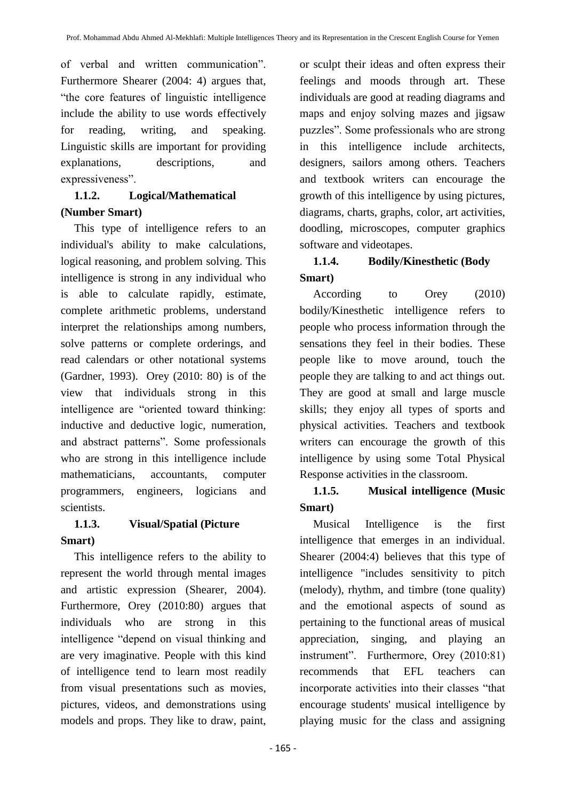of verbal and written communication". Furthermore Shearer (2004: 4) argues that, "the core features of linguistic intelligence include the ability to use words effectively for reading, writing, and speaking. Linguistic skills are important for providing explanations, descriptions, and expressiveness".

# **1.1.2. Logical/Mathematical (Number Smart)**

This type of intelligence refers to an individual's ability to make calculations, logical reasoning, and problem solving. This intelligence is strong in any individual who is able to calculate rapidly, estimate, complete arithmetic problems, understand interpret the relationships among numbers, solve patterns or complete orderings, and read calendars or other notational systems (Gardner, 1993). Orey (2010: 80) is of the view that individuals strong in this intelligence are "oriented toward thinking: inductive and deductive logic, numeration, and abstract patterns". Some professionals who are strong in this intelligence include mathematicians, accountants, computer programmers, engineers, logicians and scientists.

# **1.1.3. Visual/Spatial (Picture Smart)**

This intelligence refers to the ability to represent the world through mental images and artistic expression (Shearer, 2004). Furthermore, Orey (2010:80) argues that individuals who are strong in this intelligence "depend on visual thinking and are very imaginative. People with this kind of intelligence tend to learn most readily from visual presentations such as movies, pictures, videos, and demonstrations using models and props. They like to draw, paint,

or sculpt their ideas and often express their feelings and moods through art. These individuals are good at reading diagrams and maps and enjoy solving mazes and jigsaw puzzles". Some professionals who are strong in this intelligence include architects, designers, sailors among others. Teachers and textbook writers can encourage the growth of this intelligence by using pictures, diagrams, charts, graphs, color, art activities, doodling, microscopes, computer graphics software and videotapes.

# **1.1.4. Bodily/Kinesthetic (Body Smart)**

According to Orey (2010) bodily/Kinesthetic intelligence refers to people who process information through the sensations they feel in their bodies. These people like to move around, touch the people they are talking to and act things out. They are good at small and large muscle skills; they enjoy all types of sports and physical activities. Teachers and textbook writers can encourage the growth of this intelligence by using some Total Physical Response activities in the classroom.

# **1.1.5. Musical intelligence (Music Smart)**

Musical Intelligence is the first intelligence that emerges in an individual. Shearer (2004:4) believes that this type of intelligence "includes sensitivity to pitch (melody), rhythm, and timbre (tone quality) and the emotional aspects of sound as pertaining to the functional areas of musical appreciation, singing, and playing an instrument". Furthermore, Orey (2010:81) recommends that EFL teachers can incorporate activities into their classes "that encourage students' musical intelligence by playing music for the class and assigning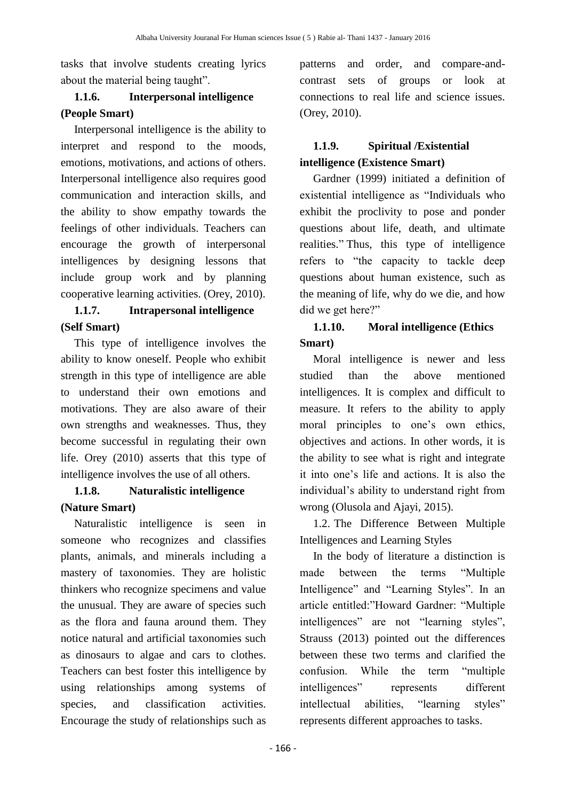tasks that involve students creating lyrics about the material being taught".

# **1.1.6. Interpersonal intelligence (People Smart)**

Interpersonal intelligence is the ability to interpret and respond to the moods, emotions, motivations, and actions of others. Interpersonal intelligence also requires good communication and interaction skills, and the ability to show empathy towards the feelings of other individuals. Teachers can encourage the growth of interpersonal intelligences by designing lessons that include group work and by planning cooperative learning activities. (Orey, 2010).

# **1.1.7. Intrapersonal intelligence (Self Smart)**

This type of intelligence involves the ability to know oneself. People who exhibit strength in this type of intelligence are able to understand their own emotions and motivations. They are also aware of their own strengths and weaknesses. Thus, they become successful in regulating their own life. Orey (2010) asserts that this type of intelligence involves the use of all others.

# **1.1.8. Naturalistic intelligence (Nature Smart)**

Naturalistic intelligence is seen in someone who recognizes and classifies plants, animals, and minerals including a mastery of taxonomies. They are holistic thinkers who recognize specimens and value the unusual. They are aware of species such as the flora and fauna around them. They notice natural and artificial taxonomies such as dinosaurs to algae and cars to clothes. Teachers can best foster this intelligence by using relationships among systems of species, and classification activities. Encourage the study of relationships such as

patterns and order, and compare-andcontrast sets of groups or look at connections to real life and science issues. (Orey, 2010).

# **1.1.9. Spiritual /Existential intelligence (Existence Smart)**

Gardner (1999) initiated a definition of existential intelligence as "Individuals who exhibit the proclivity to pose and ponder questions about life, death, and ultimate realities." Thus, this type of intelligence refers to "the capacity to tackle deep questions about human existence, such as the meaning of life, why do we die, and how did we get here?"

# **1.1.10. Moral intelligence (Ethics Smart)**

Moral intelligence is newer and less studied than the above mentioned intelligences. It is complex and difficult to measure. It refers to the ability to apply moral principles to one's own ethics, objectives and actions. In other words, it is the ability to see what is right and integrate it into one's life and actions. It is also the individual's ability to understand right from wrong (Olusola and Ajayi, 2015).

1.2. The Difference Between Multiple Intelligences and Learning Styles

In the body of literature a distinction is made between the terms "Multiple Intelligence" and "Learning Styles". In an article entitled:"Howard Gardner: "Multiple intelligences" are not "learning styles", Strauss (2013) pointed out the differences between these two terms and clarified the confusion. While the term "multiple intelligences" represents different intellectual abilities, "learning styles" represents different approaches to tasks.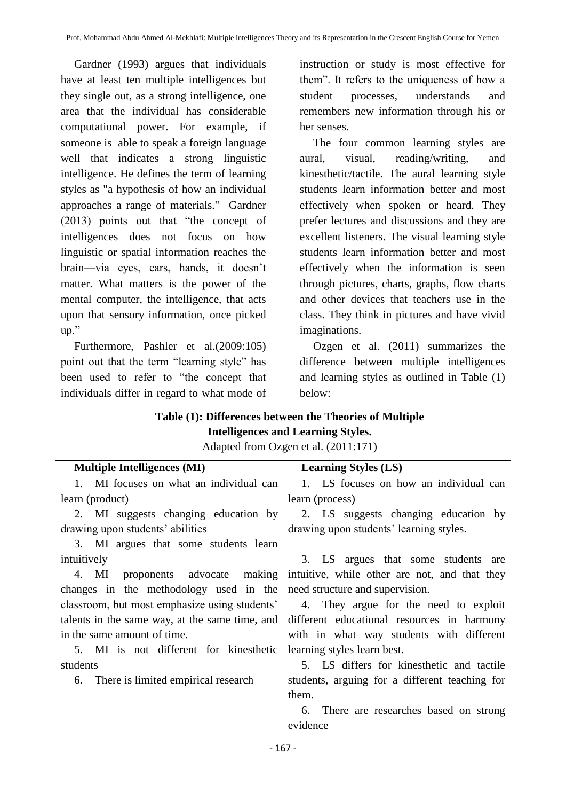Gardner (1993) argues that individuals have at least ten multiple intelligences but they single out, as a strong intelligence, one area that the individual has considerable computational power. For example, if someone is able to speak a foreign language well that indicates a strong linguistic intelligence. He defines the term of learning styles as "a hypothesis of how an individual approaches a range of materials." Gardner (2013) points out that "the concept of intelligences does not focus on how linguistic or spatial information reaches the brain—via eyes, ears, hands, it doesn't matter. What matters is the power of the mental computer, the intelligence, that acts upon that sensory information, once picked up."

Furthermore, Pashler et al.(2009:105) point out that the term "learning style" has been used to refer to "the concept that individuals differ in regard to what mode of

instruction or study is most effective for them". It refers to the uniqueness of how a student processes, understands and remembers new information through his or her senses.

The four common learning styles are aural, visual, reading/writing, and kinesthetic/tactile. The aural learning style students learn information better and most effectively when spoken or heard. They prefer lectures and discussions and they are excellent listeners. The visual learning style students learn information better and most effectively when the information is seen through pictures, charts, graphs, flow charts and other devices that teachers use in the class. They think in pictures and have vivid imaginations.

Ozgen et al. (2011) summarizes the difference between multiple intelligences and learning styles as outlined in Table (1) below:

## **Table (1): Differences between the Theories of Multiple Intelligences and Learning Styles.**

Adapted from Ozgen et al. (2011:171)

| <b>Multiple Intelligences (MI)</b>             | <b>Learning Styles (LS)</b>                    |  |  |  |  |
|------------------------------------------------|------------------------------------------------|--|--|--|--|
| 1. MI focuses on what an individual can        | 1. LS focuses on how an individual can         |  |  |  |  |
| learn (product)                                | learn (process)                                |  |  |  |  |
| 2. MI suggests changing education by           | 2. LS suggests changing education by           |  |  |  |  |
| drawing upon students' abilities               | drawing upon students' learning styles.        |  |  |  |  |
| 3. MI argues that some students learn          |                                                |  |  |  |  |
| intuitively                                    | 3. LS argues that some students are            |  |  |  |  |
| 4. MI proponents advocate making               | intuitive, while other are not, and that they  |  |  |  |  |
| changes in the methodology used in the         | need structure and supervision.                |  |  |  |  |
| classroom, but most emphasize using students'  | 4. They argue for the need to exploit          |  |  |  |  |
| talents in the same way, at the same time, and | different educational resources in harmony     |  |  |  |  |
| in the same amount of time.                    | with in what way students with different       |  |  |  |  |
| 5. MI is not different for kinesthetic         | learning styles learn best.                    |  |  |  |  |
| students                                       | 5. LS differs for kinesthetic and tactile      |  |  |  |  |
| 6. There is limited empirical research         | students, arguing for a different teaching for |  |  |  |  |
|                                                | them.                                          |  |  |  |  |
|                                                | 6. There are researches based on strong        |  |  |  |  |
|                                                | evidence                                       |  |  |  |  |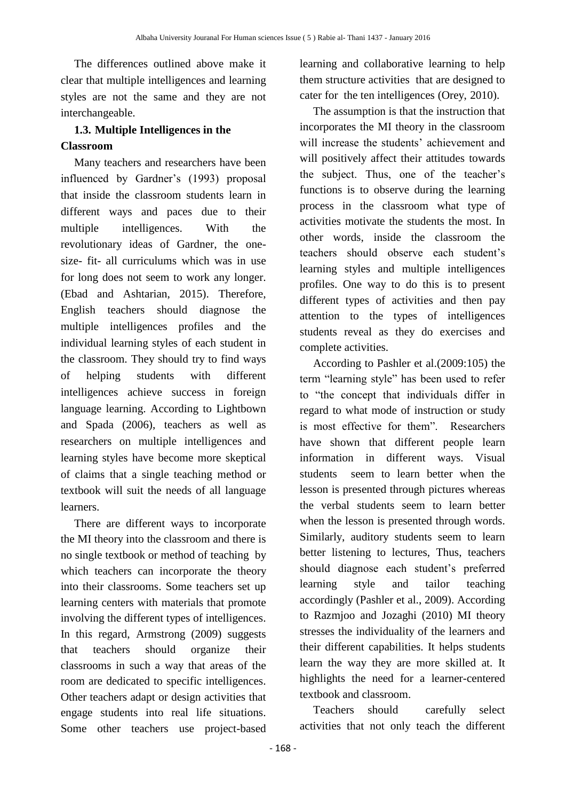The differences outlined above make it clear that multiple intelligences and learning styles are not the same and they are not interchangeable.

# **1.3. Multiple Intelligences in the Classroom**

Many teachers and researchers have been influenced by Gardner's (1993) proposal that inside the classroom students learn in different ways and paces due to their multiple intelligences. With the revolutionary ideas of Gardner, the onesize- fit- all curriculums which was in use for long does not seem to work any longer. (Ebad and Ashtarian, 2015). Therefore, English teachers should diagnose the multiple intelligences profiles and the individual learning styles of each student in the classroom. They should try to find ways of helping students with different intelligences achieve success in foreign language learning. According to Lightbown and Spada (2006), teachers as well as researchers on multiple intelligences and learning styles have become more skeptical of claims that a single teaching method or textbook will suit the needs of all language learners.

There are different ways to incorporate the MI theory into the classroom and there is no single textbook or method of teaching by which teachers can incorporate the theory into their classrooms. Some teachers set up learning centers with materials that promote involving the different types of intelligences. In this regard, Armstrong (2009) suggests that teachers should organize their classrooms in such a way that areas of the room are dedicated to specific intelligences. Other teachers adapt or design activities that engage students into real life situations. Some other teachers use project-based

learning and collaborative learning to help them structure activities that are designed to cater for the ten intelligences (Orey, 2010).

The assumption is that the instruction that incorporates the MI theory in the classroom will increase the students' achievement and will positively affect their attitudes towards the subject. Thus, one of the teacher's functions is to observe during the learning process in the classroom what type of activities motivate the students the most. In other words, inside the classroom the teachers should observe each student's learning styles and multiple intelligences profiles. One way to do this is to present different types of activities and then pay attention to the types of intelligences students reveal as they do exercises and complete activities.

According to Pashler et al.(2009:105) the term "learning style" has been used to refer to "the concept that individuals differ in regard to what mode of instruction or study is most effective for them". Researchers have shown that different people learn information in different ways. Visual students seem to learn better when the lesson is presented through pictures whereas the verbal students seem to learn better when the lesson is presented through words. Similarly, auditory students seem to learn better listening to lectures, Thus, teachers should diagnose each student's preferred learning style and tailor teaching accordingly (Pashler et al., 2009). According to Razmjoo and Jozaghi (2010) MI theory stresses the individuality of the learners and their different capabilities. It helps students learn the way they are more skilled at. It highlights the need for a learner-centered textbook and classroom.

Teachers should carefully select activities that not only teach the different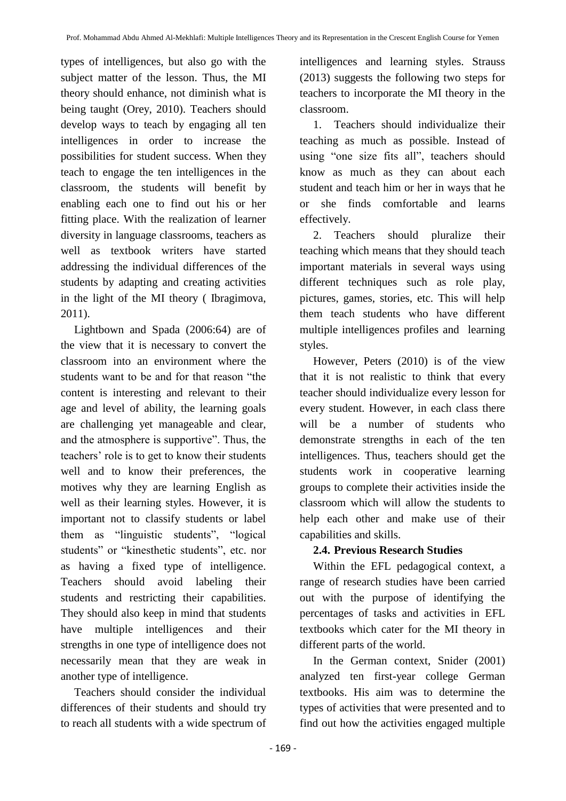types of intelligences, but also go with the subject matter of the lesson. Thus, the MI theory should enhance, not diminish what is being taught (Orey, 2010). Teachers should develop ways to teach by engaging all ten intelligences in order to increase the possibilities for student success. When they teach to engage the ten intelligences in the classroom, the students will benefit by enabling each one to find out his or her fitting place. With the realization of learner diversity in language classrooms, teachers as well as textbook writers have started addressing the individual differences of the students by adapting and creating activities in the light of the MI theory ( Ibragimova, 2011).

Lightbown and Spada (2006:64) are of the view that it is necessary to convert the classroom into an environment where the students want to be and for that reason "the content is interesting and relevant to their age and level of ability, the learning goals are challenging yet manageable and clear, and the atmosphere is supportive". Thus, the teachers' role is to get to know their students well and to know their preferences, the motives why they are learning English as well as their learning styles. However, it is important not to classify students or label them as "linguistic students", "logical students" or "kinesthetic students", etc. nor as having a fixed type of intelligence. Teachers should avoid labeling their students and restricting their capabilities. They should also keep in mind that students have multiple intelligences and their strengths in one type of intelligence does not necessarily mean that they are weak in another type of intelligence.

Teachers should consider the individual differences of their students and should try to reach all students with a wide spectrum of intelligences and learning styles. Strauss (2013) suggests the following two steps for teachers to incorporate the MI theory in the classroom.

1. Teachers should individualize their teaching as much as possible. Instead of using "one size fits all", teachers should know as much as they can about each student and teach him or her in ways that he or she finds comfortable and learns effectively.

2. Teachers should pluralize their teaching which means that they should teach important materials in several ways using different techniques such as role play, pictures, games, stories, etc. This will help them teach students who have different multiple intelligences profiles and learning styles.

However, Peters (2010) is of the view that it is not realistic to think that every teacher should individualize every lesson for every student. However, in each class there will be a number of students who demonstrate strengths in each of the ten intelligences. Thus, teachers should get the students work in cooperative learning groups to complete their activities inside the classroom which will allow the students to help each other and make use of their capabilities and skills.

### **2.4. Previous Research Studies**

Within the EFL pedagogical context, a range of research studies have been carried out with the purpose of identifying the percentages of tasks and activities in EFL textbooks which cater for the MI theory in different parts of the world.

In the German context, Snider (2001) analyzed ten first-year college German textbooks. His aim was to determine the types of activities that were presented and to find out how the activities engaged multiple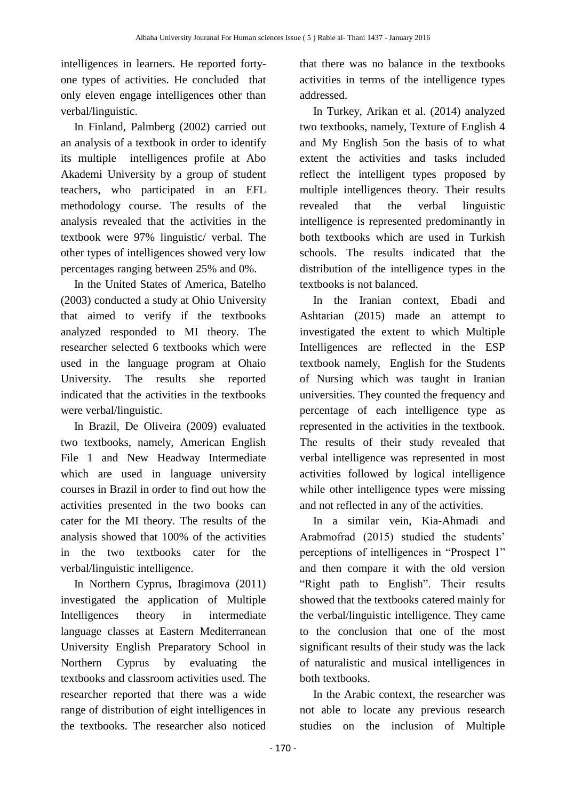intelligences in learners. He reported fortyone types of activities. He concluded that only eleven engage intelligences other than verbal/linguistic.

In Finland, Palmberg (2002) carried out an analysis of a textbook in order to identify its multiple intelligences profile at Abo Akademi University by a group of student teachers, who participated in an EFL methodology course. The results of the analysis revealed that the activities in the textbook were 97% linguistic/ verbal. The other types of intelligences showed very low percentages ranging between 25% and 0%.

In the United States of America, Batelho (2003) conducted a study at Ohio University that aimed to verify if the textbooks analyzed responded to MI theory. The researcher selected 6 textbooks which were used in the language program at Ohaio University. The results she reported indicated that the activities in the textbooks were verbal/linguistic.

In Brazil, De Oliveira (2009) evaluated two textbooks, namely, American English File 1 and New Headway Intermediate which are used in language university courses in Brazil in order to find out how the activities presented in the two books can cater for the MI theory. The results of the analysis showed that 100% of the activities in the two textbooks cater for the verbal/linguistic intelligence.

In Northern Cyprus, Ibragimova (2011) investigated the application of Multiple Intelligences theory in intermediate language classes at Eastern Mediterranean University English Preparatory School in Northern Cyprus by evaluating the textbooks and classroom activities used. The researcher reported that there was a wide range of distribution of eight intelligences in the textbooks. The researcher also noticed

that there was no balance in the textbooks activities in terms of the intelligence types addressed.

In Turkey, Arikan et al. (2014) analyzed two textbooks, namely, Texture of English 4 and My English 5on the basis of to what extent the activities and tasks included reflect the intelligent types proposed by multiple intelligences theory. Their results revealed that the verbal linguistic intelligence is represented predominantly in both textbooks which are used in Turkish schools. The results indicated that the distribution of the intelligence types in the textbooks is not balanced.

In the Iranian context, Ebadi and Ashtarian (2015) made an attempt to investigated the extent to which Multiple Intelligences are reflected in the ESP textbook namely, English for the Students of Nursing which was taught in Iranian universities. They counted the frequency and percentage of each intelligence type as represented in the activities in the textbook. The results of their study revealed that verbal intelligence was represented in most activities followed by logical intelligence while other intelligence types were missing and not reflected in any of the activities.

In a similar vein, Kia-Ahmadi and Arabmofrad (2015) studied the students' perceptions of intelligences in "Prospect 1" and then compare it with the old version "Right path to English". Their results showed that the textbooks catered mainly for the verbal/linguistic intelligence. They came to the conclusion that one of the most significant results of their study was the lack of naturalistic and musical intelligences in both textbooks.

In the Arabic context, the researcher was not able to locate any previous research studies on the inclusion of Multiple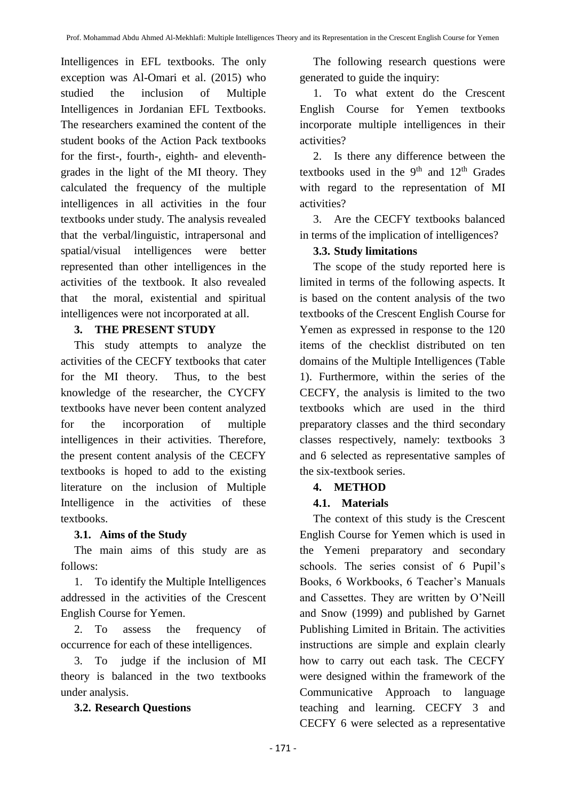Intelligences in EFL textbooks. The only exception was Al-Omari et al. (2015) who studied the inclusion of Multiple Intelligences in Jordanian EFL Textbooks. The researchers examined the content of the student books of the Action Pack textbooks for the first-, fourth-, eighth- and eleventhgrades in the light of the MI theory. They calculated the frequency of the multiple intelligences in all activities in the four textbooks under study. The analysis revealed that the verbal/linguistic, intrapersonal and spatial/visual intelligences were better represented than other intelligences in the activities of the textbook. It also revealed that the moral, existential and spiritual intelligences were not incorporated at all.

#### **3. THE PRESENT STUDY**

This study attempts to analyze the activities of the CECFY textbooks that cater for the MI theory. Thus, to the best knowledge of the researcher, the CYCFY textbooks have never been content analyzed for the incorporation of multiple intelligences in their activities. Therefore, the present content analysis of the CECFY textbooks is hoped to add to the existing literature on the inclusion of Multiple Intelligence in the activities of these textbooks.

### **3.1. Aims of the Study**

The main aims of this study are as follows:

1. To identify the Multiple Intelligences addressed in the activities of the Crescent English Course for Yemen.

2. To assess the frequency of occurrence for each of these intelligences.

3. To judge if the inclusion of MI theory is balanced in the two textbooks under analysis.

### **3.2. Research Questions**

The following research questions were generated to guide the inquiry:

1. To what extent do the Crescent English Course for Yemen textbooks incorporate multiple intelligences in their activities?

2. Is there any difference between the textbooks used in the  $9<sup>th</sup>$  and  $12<sup>th</sup>$  Grades with regard to the representation of MI activities?

3. Are the CECFY textbooks balanced in terms of the implication of intelligences?

### **3.3. Study limitations**

The scope of the study reported here is limited in terms of the following aspects. It is based on the content analysis of the two textbooks of the Crescent English Course for Yemen as expressed in response to the 120 items of the checklist distributed on ten domains of the Multiple Intelligences (Table 1). Furthermore, within the series of the CECFY, the analysis is limited to the two textbooks which are used in the third preparatory classes and the third secondary classes respectively, namely: textbooks 3 and 6 selected as representative samples of the six-textbook series.

### **4. METHOD**

### **4.1. Materials**

The context of this study is the Crescent English Course for Yemen which is used in the Yemeni preparatory and secondary schools. The series consist of 6 Pupil's Books, 6 Workbooks, 6 Teacher's Manuals and Cassettes. They are written by O'Neill and Snow (1999) and published by Garnet Publishing Limited in Britain. The activities instructions are simple and explain clearly how to carry out each task. The CECFY were designed within the framework of the Communicative Approach to language teaching and learning. CECFY 3 and CECFY 6 were selected as a representative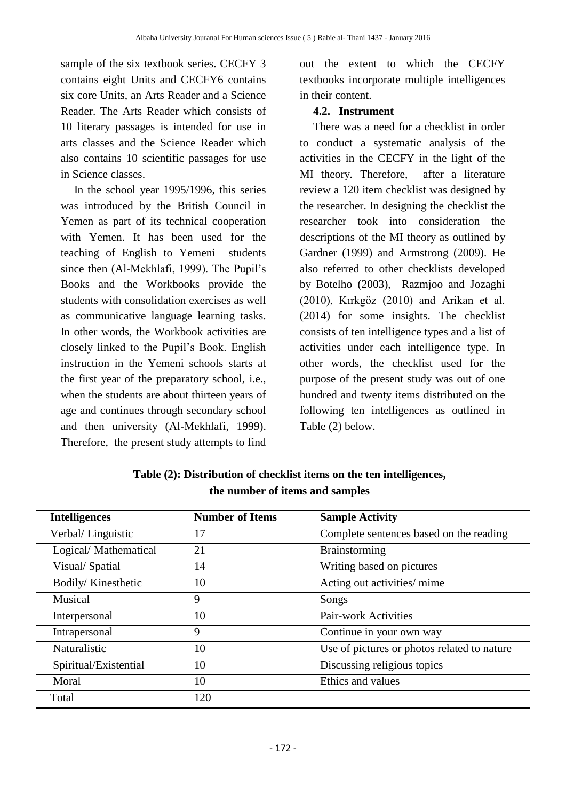sample of the six textbook series. CECFY 3 contains eight Units and CECFY6 contains six core Units, an Arts Reader and a Science Reader. The Arts Reader which consists of 10 literary passages is intended for use in arts classes and the Science Reader which also contains 10 scientific passages for use in Science classes.

In the school year 1995/1996, this series was introduced by the British Council in Yemen as part of its technical cooperation with Yemen. It has been used for the teaching of English to Yemeni students since then (Al-Mekhlafi, 1999). The Pupil's Books and the Workbooks provide the students with consolidation exercises as well as communicative language learning tasks. In other words, the Workbook activities are closely linked to the Pupil's Book. English instruction in the Yemeni schools starts at the first year of the preparatory school, i.e., when the students are about thirteen years of age and continues through secondary school and then university (Al-Mekhlafi, 1999). Therefore, the present study attempts to find

out the extent to which the CECFY textbooks incorporate multiple intelligences in their content.

### **4.2. Instrument**

There was a need for a checklist in order to conduct a systematic analysis of the activities in the CECFY in the light of the MI theory. Therefore, after a literature review a 120 item checklist was designed by the researcher. In designing the checklist the researcher took into consideration the descriptions of the MI theory as outlined by Gardner (1999) and Armstrong (2009). He also referred to other checklists developed by Botelho (2003), Razmjoo and Jozaghi (2010), Kırkgöz (2010) and Arikan et al. (2014) for some insights. The checklist consists of ten intelligence types and a list of activities under each intelligence type. In other words, the checklist used for the purpose of the present study was out of one hundred and twenty items distributed on the following ten intelligences as outlined in Table (2) below.

| <b>Intelligences</b>  | <b>Number of Items</b> | <b>Sample Activity</b>                      |  |  |
|-----------------------|------------------------|---------------------------------------------|--|--|
| Verbal/ Linguistic    | 17                     | Complete sentences based on the reading     |  |  |
| Logical/Mathematical  | 21                     | <b>Brainstorming</b>                        |  |  |
| Visual/Spatial        | 14                     | Writing based on pictures                   |  |  |
| Bodily/Kinesthetic    | 10                     | Acting out activities/ mime                 |  |  |
| Musical               | 9                      | Songs                                       |  |  |
| Interpersonal         | 10                     | <b>Pair-work Activities</b>                 |  |  |
| Intrapersonal         | 9                      | Continue in your own way                    |  |  |
| Naturalistic          | 10                     | Use of pictures or photos related to nature |  |  |
| Spiritual/Existential | 10                     | Discussing religious topics                 |  |  |
| Moral                 | 10                     | Ethics and values                           |  |  |
| Total                 | 120                    |                                             |  |  |

**Table (2): Distribution of checklist items on the ten intelligences, the number of items and samples**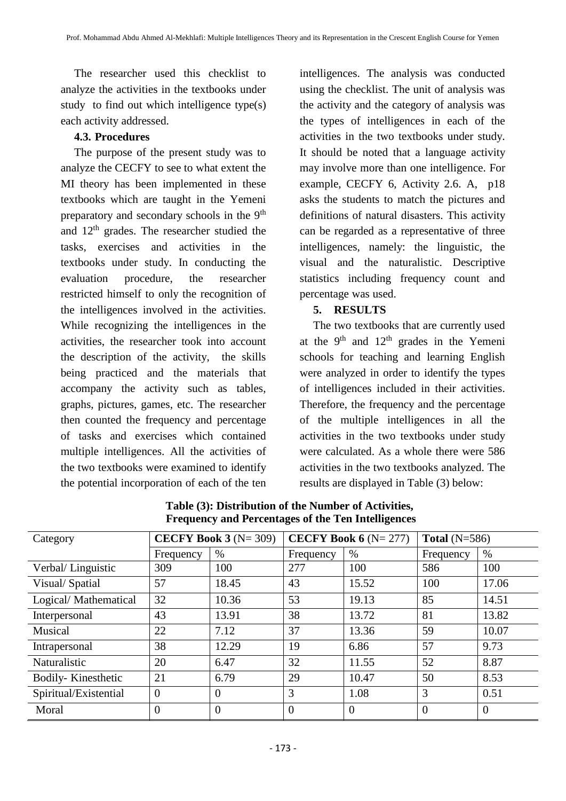The researcher used this checklist to analyze the activities in the textbooks under study to find out which intelligence type(s) each activity addressed.

### **4.3. Procedures**

The purpose of the present study was to analyze the CECFY to see to what extent the MI theory has been implemented in these textbooks which are taught in the Yemeni preparatory and secondary schools in the 9<sup>th</sup> and  $12<sup>th</sup>$  grades. The researcher studied the tasks, exercises and activities in the textbooks under study. In conducting the evaluation procedure, the researcher restricted himself to only the recognition of the intelligences involved in the activities. While recognizing the intelligences in the activities, the researcher took into account the description of the activity, the skills being practiced and the materials that accompany the activity such as tables, graphs, pictures, games, etc. The researcher then counted the frequency and percentage of tasks and exercises which contained multiple intelligences. All the activities of the two textbooks were examined to identify the potential incorporation of each of the ten intelligences. The analysis was conducted using the checklist. The unit of analysis was the activity and the category of analysis was the types of intelligences in each of the activities in the two textbooks under study. It should be noted that a language activity may involve more than one intelligence. For example, CECFY 6, Activity 2.6. A, p18 asks the students to match the pictures and definitions of natural disasters. This activity can be regarded as a representative of three intelligences, namely: the linguistic, the visual and the naturalistic. Descriptive statistics including frequency count and percentage was used.

### **5. RESULTS**

The two textbooks that are currently used at the  $9<sup>th</sup>$  and  $12<sup>th</sup>$  grades in the Yemeni schools for teaching and learning English were analyzed in order to identify the types of intelligences included in their activities. Therefore, the frequency and the percentage of the multiple intelligences in all the activities in the two textbooks under study were calculated. As a whole there were 586 activities in the two textbooks analyzed. The results are displayed in Table (3) below:

| Category              | CECFY Book 3 $(N=309)$ |          | CECFY Book $6(N=277)$ |                | Total $(N=586)$ |                |
|-----------------------|------------------------|----------|-----------------------|----------------|-----------------|----------------|
|                       | Frequency              | $\%$     | Frequency             | $\%$           | Frequency       | $\%$           |
| Verbal/Linguistic     | 309                    | 100      | 277                   | 100            | 586             | 100            |
| Visual/Spatial        | 57                     | 18.45    | 43                    | 15.52          | 100             | 17.06          |
| Logical/Mathematical  | 32                     | 10.36    | 53                    | 19.13          | 85              | 14.51          |
| Interpersonal         | 43                     | 13.91    | 38                    | 13.72          | 81              | 13.82          |
| Musical               | 22                     | 7.12     | 37                    | 13.36          | 59              | 10.07          |
| Intrapersonal         | 38                     | 12.29    | 19                    | 6.86           | 57              | 9.73           |
| Naturalistic          | 20                     | 6.47     | 32                    | 11.55          | 52              | 8.87           |
| Bodily-Kinesthetic    | 21                     | 6.79     | 29                    | 10.47          | 50              | 8.53           |
| Spiritual/Existential | $\overline{0}$         | $\theta$ | 3                     | 1.08           | 3               | 0.51           |
| Moral                 | $\overline{0}$         | $\theta$ | $\overline{0}$        | $\overline{0}$ | $\overline{0}$  | $\overline{0}$ |

**Table (3): Distribution of the Number of Activities, Frequency and Percentages of the Ten Intelligences**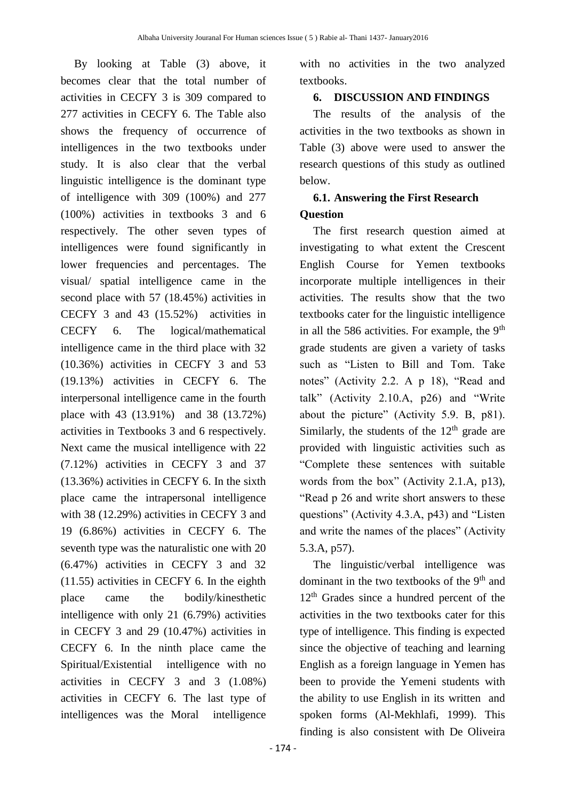By looking at Table (3) above, it becomes clear that the total number of activities in CECFY 3 is 309 compared to 277 activities in CECFY 6. The Table also shows the frequency of occurrence of intelligences in the two textbooks under study. It is also clear that the verbal linguistic intelligence is the dominant type of intelligence with 309 (100%) and 277 (100%) activities in textbooks 3 and 6 respectively. The other seven types of intelligences were found significantly in lower frequencies and percentages. The visual/ spatial intelligence came in the second place with 57 (18.45%) activities in CECFY 3 and 43 (15.52%) activities in CECFY 6. The logical/mathematical intelligence came in the third place with 32 (10.36%) activities in CECFY 3 and 53 (19.13%) activities in CECFY 6. The interpersonal intelligence came in the fourth place with 43 (13.91%) and 38 (13.72%) activities in Textbooks 3 and 6 respectively. Next came the musical intelligence with 22 (7.12%) activities in CECFY 3 and 37 (13.36%) activities in CECFY 6. In the sixth place came the intrapersonal intelligence with 38 (12.29%) activities in CECFY 3 and 19 (6.86%) activities in CECFY 6. The seventh type was the naturalistic one with 20 (6.47%) activities in CECFY 3 and 32 (11.55) activities in CECFY 6. In the eighth place came the bodily/kinesthetic intelligence with only 21 (6.79%) activities in CECFY 3 and 29 (10.47%) activities in CECFY 6. In the ninth place came the Spiritual/Existential intelligence with no activities in CECFY 3 and 3 (1.08%) activities in CECFY 6. The last type of intelligences was the Moral intelligence

with no activities in the two analyzed textbooks.

### **6. DISCUSSION AND FINDINGS**

The results of the analysis of the activities in the two textbooks as shown in Table (3) above were used to answer the research questions of this study as outlined below.

# **6.1. Answering the First Research Question**

The first research question aimed at investigating to what extent the Crescent English Course for Yemen textbooks incorporate multiple intelligences in their activities. The results show that the two textbooks cater for the linguistic intelligence in all the 586 activities. For example, the  $9<sup>th</sup>$ grade students are given a variety of tasks such as "Listen to Bill and Tom. Take notes" (Activity 2.2. A p 18), "Read and talk" (Activity 2.10.A, p26) and "Write about the picture" (Activity 5.9. B, p81). Similarly, the students of the  $12<sup>th</sup>$  grade are provided with linguistic activities such as "Complete these sentences with suitable words from the box" (Activity 2.1.A, p13), "Read p 26 and write short answers to these questions" (Activity 4.3.A, p43) and "Listen and write the names of the places" (Activity 5.3.A, p57).

The linguistic/verbal intelligence was dominant in the two textbooks of the  $9<sup>th</sup>$  and 12th Grades since a hundred percent of the activities in the two textbooks cater for this type of intelligence. This finding is expected since the objective of teaching and learning English as a foreign language in Yemen has been to provide the Yemeni students with the ability to use English in its written and spoken forms (Al-Mekhlafi, 1999). This finding is also consistent with De Oliveira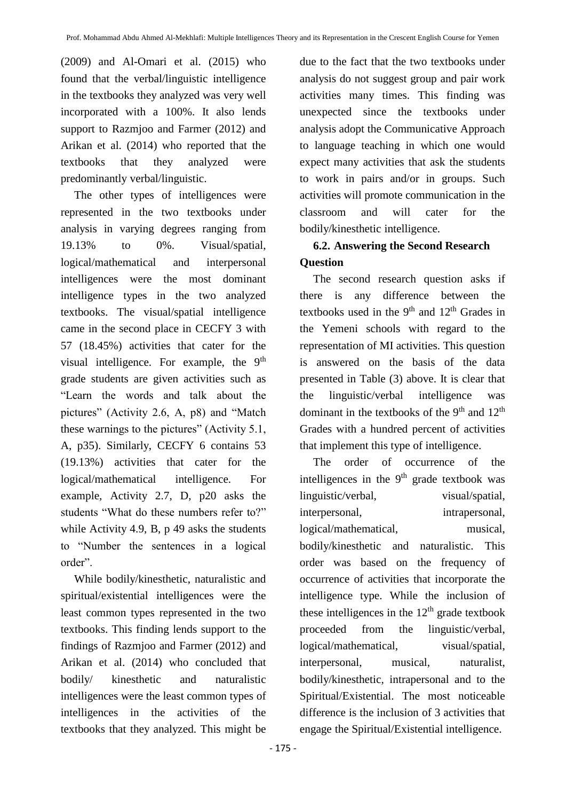(2009) and Al-Omari et al. (2015) who found that the verbal/linguistic intelligence in the textbooks they analyzed was very well incorporated with a 100%. It also lends support to Razmjoo and Farmer (2012) and Arikan et al. (2014) who reported that the textbooks that they analyzed were predominantly verbal/linguistic.

The other types of intelligences were represented in the two textbooks under analysis in varying degrees ranging from 19.13% to 0%. Visual/spatial, logical/mathematical and interpersonal intelligences were the most dominant intelligence types in the two analyzed textbooks. The visual/spatial intelligence came in the second place in CECFY 3 with 57 (18.45%) activities that cater for the visual intelligence. For example, the  $9<sup>th</sup>$ grade students are given activities such as "Learn the words and talk about the pictures" (Activity 2.6, A, p8) and "Match these warnings to the pictures" (Activity 5.1, A, p35). Similarly, CECFY 6 contains 53 (19.13%) activities that cater for the logical/mathematical intelligence. For example, Activity 2.7, D, p20 asks the students "What do these numbers refer to?" while Activity 4.9, B, p 49 asks the students to "Number the sentences in a logical order".

While bodily/kinesthetic, naturalistic and spiritual/existential intelligences were the least common types represented in the two textbooks. This finding lends support to the findings of Razmjoo and Farmer (2012) and Arikan et al. (2014) who concluded that bodily/ kinesthetic and naturalistic intelligences were the least common types of intelligences in the activities of the textbooks that they analyzed. This might be

due to the fact that the two textbooks under analysis do not suggest group and pair work activities many times. This finding was unexpected since the textbooks under analysis adopt the Communicative Approach to language teaching in which one would expect many activities that ask the students to work in pairs and/or in groups. Such activities will promote communication in the classroom and will cater for the bodily/kinesthetic intelligence.

# **6.2. Answering the Second Research Question**

The second research question asks if there is any difference between the textbooks used in the  $9<sup>th</sup>$  and  $12<sup>th</sup>$  Grades in the Yemeni schools with regard to the representation of MI activities. This question is answered on the basis of the data presented in Table (3) above. It is clear that the linguistic/verbal intelligence was dominant in the textbooks of the 9<sup>th</sup> and 12<sup>th</sup> Grades with a hundred percent of activities that implement this type of intelligence.

The order of occurrence of the intelligences in the  $9<sup>th</sup>$  grade textbook was linguistic/verbal, visual/spatial, interpersonal, intrapersonal, logical/mathematical, musical, bodily/kinesthetic and naturalistic. This order was based on the frequency of occurrence of activities that incorporate the intelligence type. While the inclusion of these intelligences in the  $12<sup>th</sup>$  grade textbook proceeded from the linguistic/verbal, logical/mathematical, visual/spatial, interpersonal, musical, naturalist, bodily/kinesthetic, intrapersonal and to the Spiritual/Existential. The most noticeable difference is the inclusion of 3 activities that engage the Spiritual/Existential intelligence.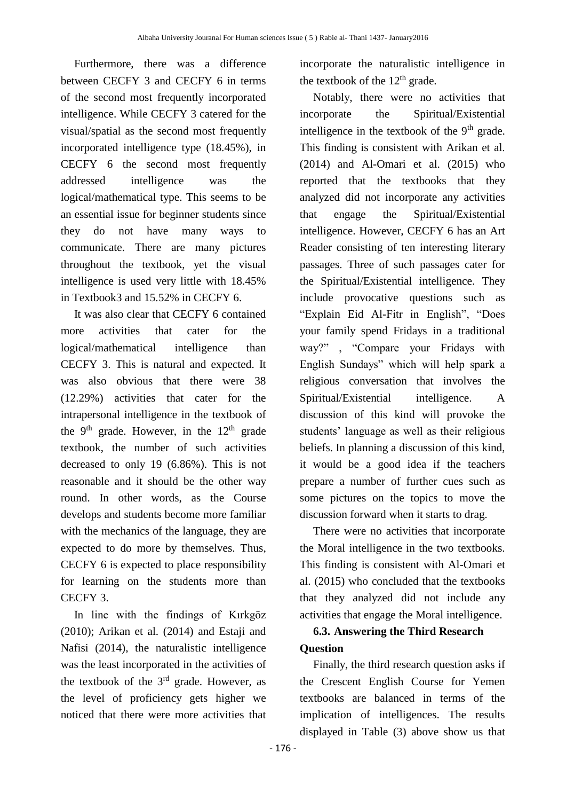Furthermore, there was a difference between CECFY 3 and CECFY 6 in terms of the second most frequently incorporated intelligence. While CECFY 3 catered for the visual/spatial as the second most frequently incorporated intelligence type (18.45%), in CECFY 6 the second most frequently addressed intelligence was the logical/mathematical type. This seems to be an essential issue for beginner students since they do not have many ways to communicate. There are many pictures throughout the textbook, yet the visual intelligence is used very little with 18.45% in Textbook3 and 15.52% in CECFY 6.

It was also clear that CECFY 6 contained more activities that cater for the logical/mathematical intelligence than CECFY 3. This is natural and expected. It was also obvious that there were 38 (12.29%) activities that cater for the intrapersonal intelligence in the textbook of the 9<sup>th</sup> grade. However, in the  $12<sup>th</sup>$  grade textbook, the number of such activities decreased to only 19 (6.86%). This is not reasonable and it should be the other way round. In other words, as the Course develops and students become more familiar with the mechanics of the language, they are expected to do more by themselves. Thus, CECFY 6 is expected to place responsibility for learning on the students more than CECFY 3.

In line with the findings of Kırkgöz (2010); Arikan et al. (2014) and Estaji and Nafisi (2014), the naturalistic intelligence was the least incorporated in the activities of the textbook of the  $3<sup>rd</sup>$  grade. However, as the level of proficiency gets higher we noticed that there were more activities that incorporate the naturalistic intelligence in the textbook of the  $12<sup>th</sup>$  grade.

Notably, there were no activities that incorporate the Spiritual/Existential intelligence in the textbook of the  $9<sup>th</sup>$  grade. This finding is consistent with Arikan et al. (2014) and Al-Omari et al. (2015) who reported that the textbooks that they analyzed did not incorporate any activities that engage the Spiritual/Existential intelligence. However, CECFY 6 has an Art Reader consisting of ten interesting literary passages. Three of such passages cater for the Spiritual/Existential intelligence. They include provocative questions such as "Explain Eid Al-Fitr in English", "Does your family spend Fridays in a traditional way?" , "Compare your Fridays with English Sundays" which will help spark a religious conversation that involves the Spiritual/Existential intelligence. A discussion of this kind will provoke the students' language as well as their religious beliefs. In planning a discussion of this kind, it would be a good idea if the teachers prepare a number of further cues such as some pictures on the topics to move the discussion forward when it starts to drag.

There were no activities that incorporate the Moral intelligence in the two textbooks. This finding is consistent with Al-Omari et al. (2015) who concluded that the textbooks that they analyzed did not include any activities that engage the Moral intelligence.

# **6.3. Answering the Third Research Question**

Finally, the third research question asks if the Crescent English Course for Yemen textbooks are balanced in terms of the implication of intelligences. The results displayed in Table (3) above show us that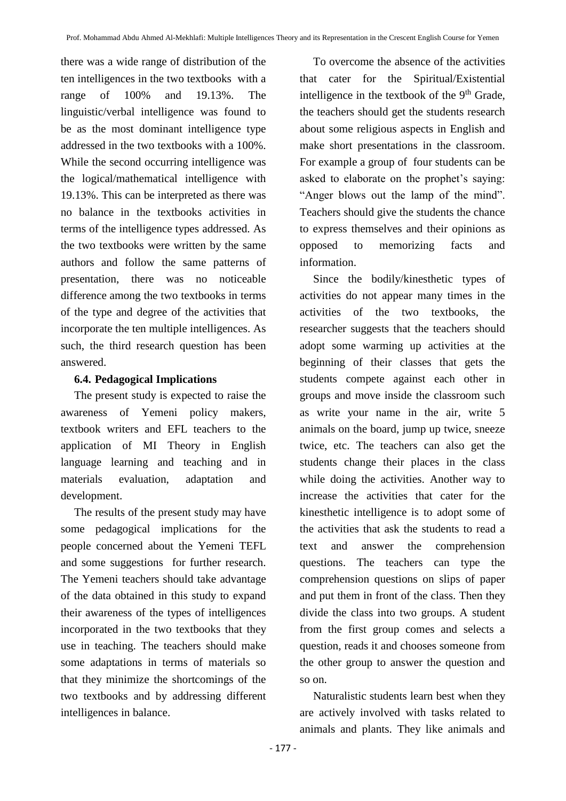there was a wide range of distribution of the ten intelligences in the two textbooks with a range of 100% and 19.13%. The linguistic/verbal intelligence was found to be as the most dominant intelligence type addressed in the two textbooks with a 100%. While the second occurring intelligence was the logical/mathematical intelligence with 19.13%. This can be interpreted as there was no balance in the textbooks activities in terms of the intelligence types addressed. As the two textbooks were written by the same authors and follow the same patterns of presentation, there was no noticeable difference among the two textbooks in terms of the type and degree of the activities that incorporate the ten multiple intelligences. As such, the third research question has been answered.

### **6.4. Pedagogical Implications**

The present study is expected to raise the awareness of Yemeni policy makers, textbook writers and EFL teachers to the application of MI Theory in English language learning and teaching and in materials evaluation, adaptation and development.

The results of the present study may have some pedagogical implications for the people concerned about the Yemeni TEFL and some suggestions for further research. The Yemeni teachers should take advantage of the data obtained in this study to expand their awareness of the types of intelligences incorporated in the two textbooks that they use in teaching. The teachers should make some adaptations in terms of materials so that they minimize the shortcomings of the two textbooks and by addressing different intelligences in balance.

To overcome the absence of the activities that cater for the Spiritual/Existential intelligence in the textbook of the  $9<sup>th</sup>$  Grade, the teachers should get the students research about some religious aspects in English and make short presentations in the classroom. For example a group of four students can be asked to elaborate on the prophet's saying: "Anger blows out the lamp of the mind". Teachers should give the students the chance to express themselves and their opinions as opposed to memorizing facts and information.

Since the bodily/kinesthetic types of activities do not appear many times in the activities of the two textbooks, the researcher suggests that the teachers should adopt some warming up activities at the beginning of their classes that gets the students compete against each other in groups and move inside the classroom such as write your name in the air, write 5 animals on the board, jump up twice, sneeze twice, etc. The teachers can also get the students change their places in the class while doing the activities. Another way to increase the activities that cater for the kinesthetic intelligence is to adopt some of the activities that ask the students to read a text and answer the comprehension questions. The teachers can type the comprehension questions on slips of paper and put them in front of the class. Then they divide the class into two groups. A student from the first group comes and selects a question, reads it and chooses someone from the other group to answer the question and so on.

Naturalistic students learn best when they are actively involved with tasks related to animals and plants. They like animals and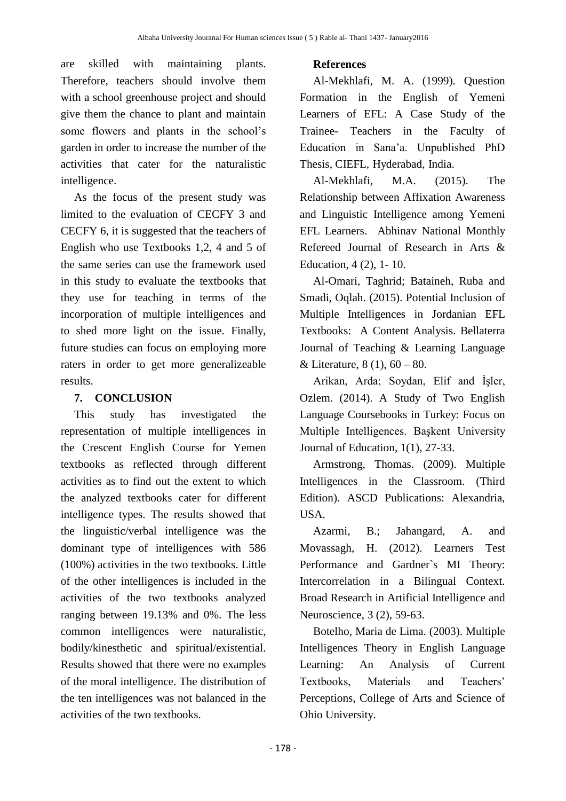are skilled with maintaining plants. Therefore, teachers should involve them with a school greenhouse project and should give them the chance to plant and maintain some flowers and plants in the school's garden in order to increase the number of the activities that cater for the naturalistic intelligence.

As the focus of the present study was limited to the evaluation of CECFY 3 and CECFY 6, it is suggested that the teachers of English who use Textbooks 1,2, 4 and 5 of the same series can use the framework used in this study to evaluate the textbooks that they use for teaching in terms of the incorporation of multiple intelligences and to shed more light on the issue. Finally, future studies can focus on employing more raters in order to get more generalizeable results.

### **7. CONCLUSION**

This study has investigated the representation of multiple intelligences in the Crescent English Course for Yemen textbooks as reflected through different activities as to find out the extent to which the analyzed textbooks cater for different intelligence types. The results showed that the linguistic/verbal intelligence was the dominant type of intelligences with 586 (100%) activities in the two textbooks. Little of the other intelligences is included in the activities of the two textbooks analyzed ranging between 19.13% and 0%. The less common intelligences were naturalistic, bodily/kinesthetic and spiritual/existential. Results showed that there were no examples of the moral intelligence. The distribution of the ten intelligences was not balanced in the activities of the two textbooks.

### **References**

Al-Mekhlafi, M. A. (1999). Question Formation in the English of Yemeni Learners of EFL: A Case Study of the Trainee- Teachers in the Faculty of Education in Sana'a. Unpublished PhD Thesis, CIEFL, Hyderabad, India.

Al-Mekhlafi, M.A. (2015). The Relationship between Affixation Awareness and Linguistic Intelligence among Yemeni EFL Learners. Abhinav National Monthly Refereed Journal of Research in Arts & Education, 4 (2), 1- 10.

Al-Omari, Taghrid; Bataineh, Ruba and Smadi, Oqlah. (2015). Potential Inclusion of Multiple Intelligences in Jordanian EFL Textbooks: A Content Analysis. Bellaterra Journal of Teaching & Learning Language & Literature,  $8(1)$ ,  $60 - 80$ .

Arikan, Arda; Soydan, Elif and İşler, Ozlem. (2014). A Study of Two English Language Coursebooks in Turkey: Focus on Multiple Intelligences. Başkent University Journal of Education, 1(1), 27-33.

Armstrong, Thomas. (2009). Multiple Intelligences in the Classroom. (Third Edition). ASCD Publications: Alexandria, USA.

Azarmi, B.; Jahangard, A. and Movassagh, H. (2012). Learners Test Performance and Gardner`s MI Theory: Intercorrelation in a Bilingual Context. Broad Research in Artificial Intelligence and Neuroscience, 3 (2), 59-63.

Botelho, Maria de Lima. (2003). Multiple Intelligences Theory in English Language Learning: An Analysis of Current Textbooks, Materials and Teachers' Perceptions, College of Arts and Science of Ohio University.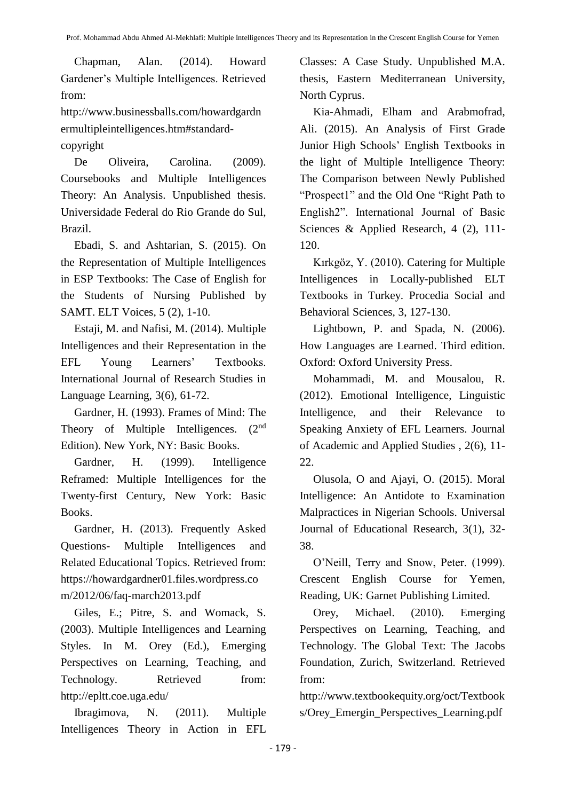Chapman, Alan. (2014). Howard Gardener's Multiple Intelligences. Retrieved from:

[http://www.businessballs.com/howardgardn](http://www.businessballs.com/howardgardnermultipleintelligences.htm#standard-copyright) [ermultipleintelligences.htm#standard](http://www.businessballs.com/howardgardnermultipleintelligences.htm#standard-copyright)[copyright](http://www.businessballs.com/howardgardnermultipleintelligences.htm#standard-copyright)

De Oliveira, Carolina. (2009). Coursebooks and Multiple Intelligences Theory: An Analysis. Unpublished thesis. Universidade Federal do Rio Grande do Sul, Brazil.

Ebadi, S. and Ashtarian, S. (2015). On the Representation of Multiple Intelligences in ESP Textbooks: The Case of English for the Students of Nursing Published by SAMT. ELT Voices, 5 (2), 1-10.

Estaji, M. and Nafisi, M. (2014). Multiple Intelligences and their Representation in the EFL Young Learners' Textbooks. International Journal of Research Studies in Language Learning, 3(6), 61-72.

Gardner, H. (1993). Frames of Mind: The Theory of Multiple Intelligences. (2<sup>nd</sup>) Edition). New York, NY: Basic Books.

Gardner, H. (1999). Intelligence Reframed: Multiple Intelligences for the Twenty-first Century, New York: Basic Books.

Gardner, H. (2013). Frequently Asked Questions- Multiple Intelligences and Related Educational Topics. Retrieved from: [https://howardgardner01.files.wordpress.co](https://howardgardner01.files.wordpress.com/2012/06/faq-march2013.pdf) [m/2012/06/faq-march2013.pdf](https://howardgardner01.files.wordpress.com/2012/06/faq-march2013.pdf)

Giles, E.; Pitre, S. and Womack, S. (2003). Multiple Intelligences and Learning Styles. In M. Orey (Ed.), Emerging Perspectives on Learning, Teaching, and Technology. Retrieved from: <http://epltt.coe.uga.edu/>

Ibragimova, N. (2011). Multiple Intelligences Theory in Action in EFL

Classes: A Case Study. Unpublished M.A. thesis, Eastern Mediterranean University, North Cyprus.

Kia-Ahmadi, Elham and Arabmofrad, Ali. (2015). An Analysis of First Grade Junior High Schools' English Textbooks in the light of Multiple Intelligence Theory: The Comparison between Newly Published "Prospect1" and the Old One "Right Path to English2". International Journal of Basic Sciences & Applied Research, 4 (2), 111- 120.

Kırkgöz, Y. (2010). Catering for Multiple Intelligences in Locally-published ELT Textbooks in Turkey. Procedia Social and Behavioral Sciences, 3, 127-130.

Lightbown, P. and Spada, N. (2006). How Languages are Learned. Third edition. Oxford: Oxford University Press.

Mohammadi, M. and Mousalou, R. (2012). Emotional Intelligence, Linguistic Intelligence, and their Relevance to Speaking Anxiety of EFL Learners. Journal of Academic and Applied Studies , 2(6), 11- 22.

Olusola, O and Ajayi, O. (2015). Moral Intelligence: An Antidote to Examination Malpractices in Nigerian Schools. Universal Journal of Educational Research, 3(1), 32- 38.

O'Neill, Terry and Snow, Peter. (1999). Crescent English Course for Yemen, Reading, UK: Garnet Publishing Limited.

Orey, Michael. (2010). Emerging Perspectives on Learning, Teaching, and Technology. The Global Text: The Jacobs Foundation, Zurich, Switzerland. Retrieved from:

[http://www.textbookequity.org/oct/Textbook](http://www.textbookequity.org/oct/Textbooks/Orey_Emergin_Perspectives_Learning.pdf) [s/Orey\\_Emergin\\_Perspectives\\_Learning.pdf](http://www.textbookequity.org/oct/Textbooks/Orey_Emergin_Perspectives_Learning.pdf)